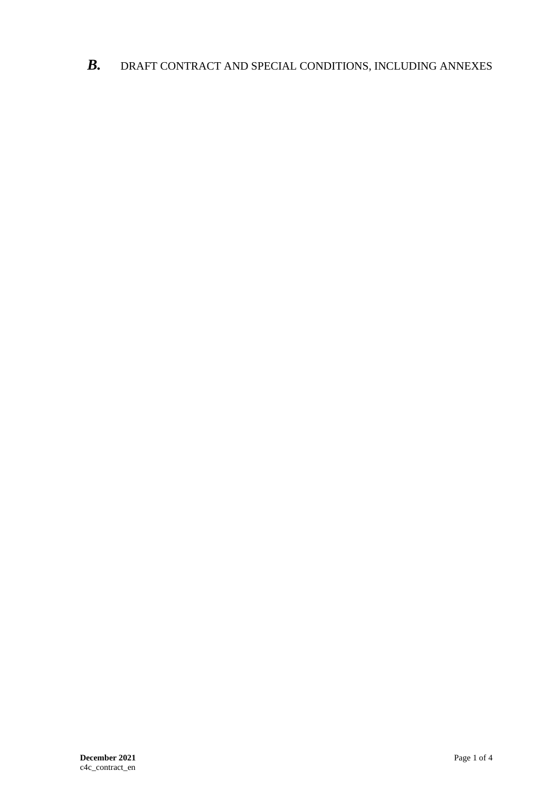*B.* DRAFT CONTRACT AND SPECIAL CONDITIONS, INCLUDING ANNEXES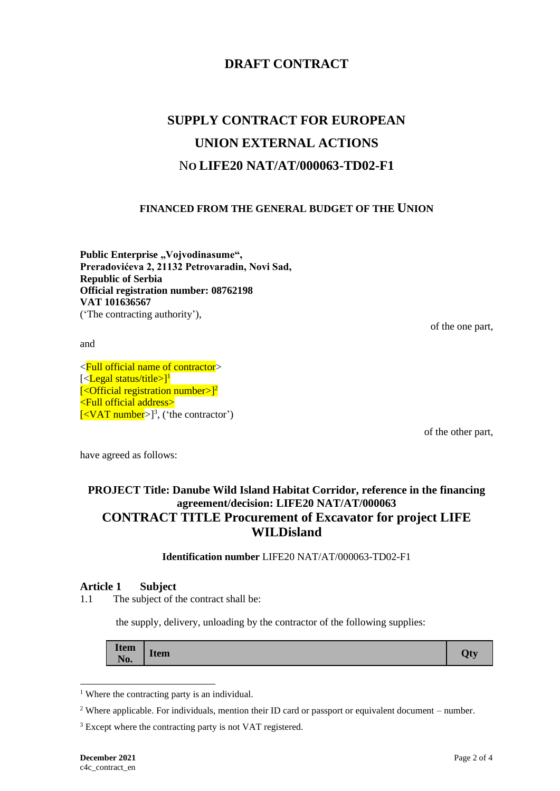## **DRAFT CONTRACT**

# **SUPPLY CONTRACT FOR EUROPEAN UNION EXTERNAL ACTIONS** N**O LIFE20 NAT/AT/000063-TD02-F1**

## **FINANCED FROM THE GENERAL BUDGET OF THE UNION**

Public Enterprise "Vojvodinasume", **Preradovićeva 2, 21132 Petrovaradin, Novi Sad, Republic of Serbia Official registration number: 08762198 VAT 101636567** ('The contracting authority'),

of the one part,

and

<Full official name of contractor> [<**Legal status/title>]<sup>1</sup>**  $\left[ \langle \text{Official registration number} \rangle \right]^2$ <Full official address>  $\left[ <$ VAT number $>$ ]<sup>3</sup>, ('the contractor')

of the other part,

have agreed as follows:

## **PROJECT Title: Danube Wild Island Habitat Corridor, reference in the financing agreement/decision: LIFE20 NAT/AT/000063 CONTRACT TITLE Procurement of Excavator for project LIFE WILDisland**

**Identification number** LIFE20 NAT/AT/000063-TD02-F1

#### **Article 1 Subject**

1.1 The subject of the contract shall be:

the supply, delivery, unloading by the contractor of the following supplies:

| <b>Item</b><br>T<br><b>Ofv</b><br><b>Item</b><br>Æ.<br>No. |
|------------------------------------------------------------|
|------------------------------------------------------------|

<sup>&</sup>lt;sup>1</sup> Where the contracting party is an individual.

<sup>2</sup> Where applicable. For individuals, mention their ID card or passport or equivalent document – number.

<sup>&</sup>lt;sup>3</sup> Except where the contracting party is not VAT registered.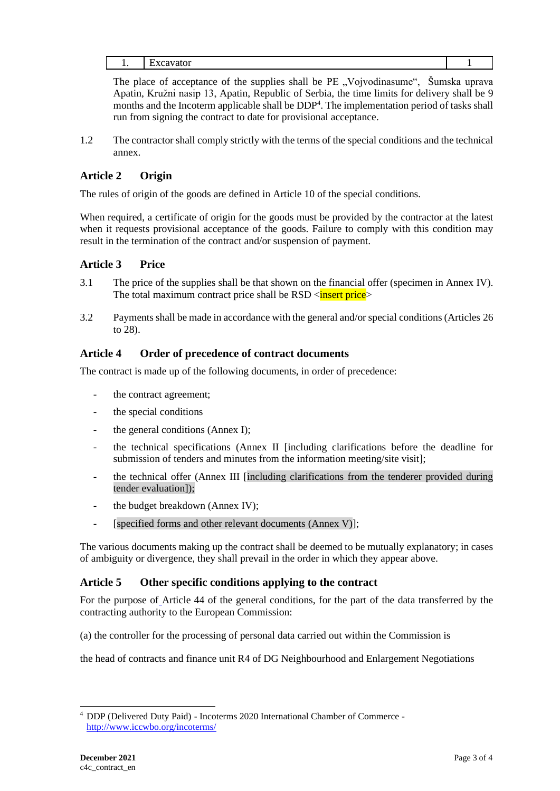The place of acceptance of the supplies shall be PE "Vojvodinasume", Šumska uprava Apatin, Kružni nasip 13, Apatin, Republic of Serbia, the time limits for delivery shall be 9 months and the Incoterm applicable shall be DDP<sup>4</sup>. The implementation period of tasks shall run from signing the contract to date for provisional acceptance.

1.2 The contractor shall comply strictly with the terms of the special conditions and the technical annex.

## **Article 2 Origin**

The rules of origin of the goods are defined in Article 10 of the special conditions.

When required, a certificate of origin for the goods must be provided by the contractor at the latest when it requests provisional acceptance of the goods. Failure to comply with this condition may result in the termination of the contract and/or suspension of payment.

## **Article 3 Price**

- 3.1 The price of the supplies shall be that shown on the financial offer (specimen in Annex IV). The total maximum contract price shall be  $RSD <$ **insert price**>
- 3.2 Payments shall be made in accordance with the general and/or special conditions (Articles 26 to 28).

## **Article 4 Order of precedence of contract documents**

The contract is made up of the following documents, in order of precedence:

- the contract agreement;
- the special conditions
- the general conditions (Annex I);
- the technical specifications (Annex II [including clarifications before the deadline for submission of tenders and minutes from the information meeting/site visit];
- the technical offer (Annex III [including clarifications from the tenderer provided during tender evaluation]);
- the budget breakdown (Annex IV);
- [specified forms and other relevant documents (Annex V)];

The various documents making up the contract shall be deemed to be mutually explanatory; in cases of ambiguity or divergence, they shall prevail in the order in which they appear above.

#### **Article 5 Other specific conditions applying to the contract**

For the purpose of Article 44 of the general conditions, for the part of the data transferred by the contracting authority to the European Commission:

(a) the controller for the processing of personal data carried out within the Commission is

the head of contracts and finance unit R4 of DG Neighbourhood and Enlargement Negotiations

<sup>4</sup> DDP (Delivered Duty Paid) - Incoterms 2020 International Chamber of Commerce <http://www.iccwbo.org/incoterms/>